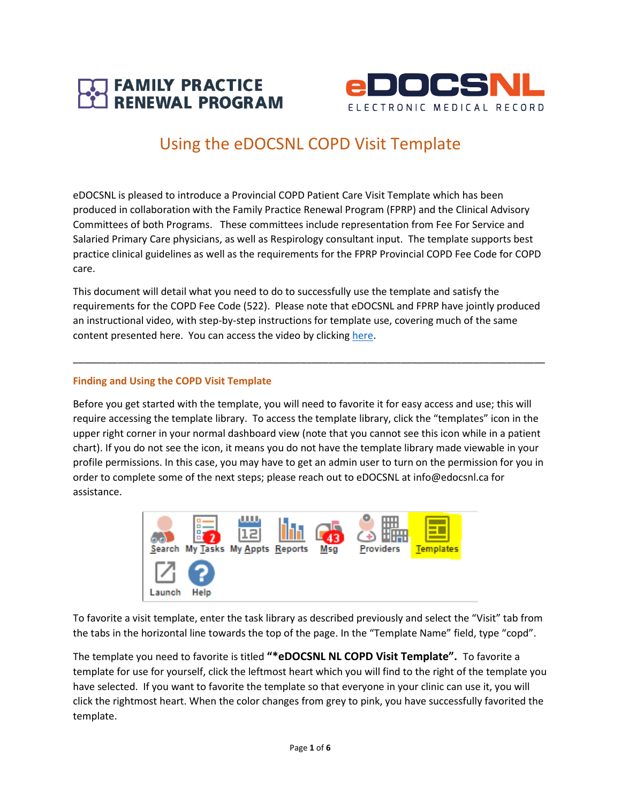



# Using the eDOCSNL COPD Visit Template

eDOCSNL is pleased to introduce a Provincial COPD Patient Care Visit Template which has been produced in collaboration with the Family Practice Renewal Program (FPRP) and the Clinical Advisory Committees of both Programs. These committees include representation from Fee For Service and Salaried Primary Care physicians, as well as Respirology consultant input. The template supports best practice clinical guidelines as well as the requirements for the FPRP Provincial COPD Fee Code for COPD care.

This document will detail what you need to do to successfully use the template and satisfy the requirements for the COPD Fee Code (522). Please note that eDOCSNL and FPRP have jointly produced an instructional video, with step-by-step instructions for template use, covering much of the same content presented here. You can access the video by clicking [here.](https://nlma-nl-ca.zoom.us/rec/play/4EEEoOJ6lnAbr_1kApG61wam8JHgb8ZUh1L_NS9JKx1H8k30ifhzsaGi7an-2KD3adOnfTbxXXNC-S4y.oERC4QjbEctrcmSo)

\_\_\_\_\_\_\_\_\_\_\_\_\_\_\_\_\_\_\_\_\_\_\_\_\_\_\_\_\_\_\_\_\_\_\_\_\_\_\_\_\_\_\_\_\_\_\_\_\_\_\_\_\_\_\_\_\_\_\_\_\_\_\_\_\_\_\_\_\_\_\_\_\_\_\_\_\_\_\_\_\_\_\_\_\_

## **Finding and Using the COPD Visit Template**

Before you get started with the template, you will need to favorite it for easy access and use; this will require accessing the template library. To access the template library, click the "templates" icon in the upper right corner in your normal dashboard view (note that you cannot see this icon while in a patient chart). If you do not see the icon, it means you do not have the template library made viewable in your profile permissions. In this case, you may have to get an admin user to turn on the permission for you in order to complete some of the next steps; please reach out to eDOCSNL at info@edocsnl.ca for assistance.



To favorite a visit template, enter the task library as described previously and select the "Visit" tab from the tabs in the horizontal line towards the top of the page. In the "Template Name" field, type "copd".

The template you need to favorite is titled **"\*eDOCSNL NL COPD Visit Template".** To favorite a template for use for yourself, click the leftmost heart which you will find to the right of the template you have selected. If you want to favorite the template so that everyone in your clinic can use it, you will click the rightmost heart. When the color changes from grey to pink, you have successfully favorited the template.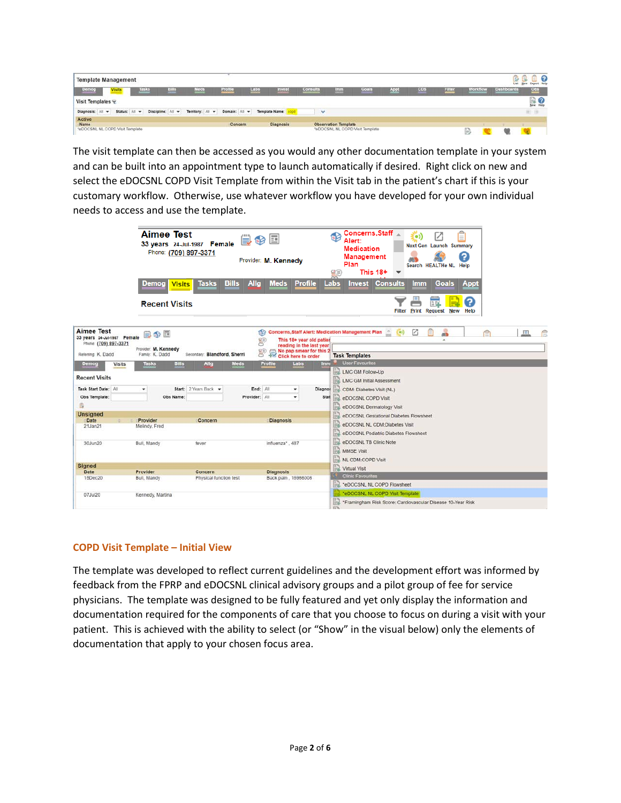| <b>Template Management</b>      |               |             |                   |                  |               |      |                |              |                             |                                 |      |            |        |          | List              | Export Help<br><b>New</b> |
|---------------------------------|---------------|-------------|-------------------|------------------|---------------|------|----------------|--------------|-----------------------------|---------------------------------|------|------------|--------|----------|-------------------|---------------------------|
| <b>Demog</b>                    | <b>Visits</b> | <b>Asks</b> | ातार              | Meds             | Profile       | Labs | Invest         | Consults     | lmm                         | <b>Goals</b>                    | Appl | <b>CDS</b> | Filter | Workflow | <b>Dashboards</b> | $_{\text{Obs}}$           |
| Visit Templates                 |               |             |                   |                  |               |      |                |              |                             |                                 |      |            |        |          |                   | <b>BO</b>                 |
| Diagnosis: All w                | Status: All w |             | Discipline: All w | Territory: All w | Domain: All = |      | Template Name: | $\checkmark$ |                             |                                 |      |            |        |          |                   | IE B                      |
| Active                          |               |             |                   |                  |               |      |                |              |                             |                                 |      |            |        |          |                   |                           |
| Name.                           |               |             |                   |                  | Concern       |      | Diagnosis      |              | <b>Observation Template</b> |                                 |      |            |        |          |                   |                           |
| *eDOCSNL NL COPD Visit Template |               |             |                   |                  |               |      |                |              |                             | *eDOCSNL NL COPD Visit Template |      |            |        |          |                   |                           |

The visit template can then be accessed as you would any other documentation template in your system and can be built into an appointment type to launch automatically if desired. Right click on new and select the eDOCSNL COPD Visit Template from within the Visit tab in the patient's chart if this is your customary workflow. Otherwise, use whatever workflow you have developed for your own individual needs to access and use the template.

|                                                                                                 | <b>Aimee Test</b><br>Phone: (709) 897-3371<br><b>Demog</b><br><b>Visits</b> | 33 years 24-Jul-1987 Female<br><b>Bills</b><br><b>Tasks</b> | 農命国<br>Provider: M. Kennedy<br>Allg<br><b>Meds</b><br><b>Profile</b>                                                                                                            |                 | Concerns, Staff<br>o.<br>$\equiv$<br>Alert:<br><b>Next Gen</b> Launch Summary<br><b>Medication</b><br>7<br><b>Management</b><br>Plan<br>Search HEALTHe NL Help<br>This $18+$<br>$\overline{\phantom{a}}$<br>Œ<br><b>Consults</b><br>Labs<br><b>Goals</b><br><b>Invest</b><br><b>Appt</b><br><b>Imm</b> |  |  |
|-------------------------------------------------------------------------------------------------|-----------------------------------------------------------------------------|-------------------------------------------------------------|---------------------------------------------------------------------------------------------------------------------------------------------------------------------------------|-----------------|--------------------------------------------------------------------------------------------------------------------------------------------------------------------------------------------------------------------------------------------------------------------------------------------------------|--|--|
|                                                                                                 | <b>Recent Visits</b>                                                        |                                                             |                                                                                                                                                                                 |                 | 3<br>15<br>Filter Print Request New<br>Help                                                                                                                                                                                                                                                            |  |  |
| <b>Aimee Test</b><br>33 years 24-Jul-1987 Female<br>Phone: (709) 897-3371<br>Referring: K. Dadd | 自命国<br>Provider: M. Kennedy<br>Family: K. Dadd                              | Secondary: Blandford, Sherri                                | <b>Concerns, Staff Alert: Medication Management Plan</b><br>8<br>This 18+ year old patier<br>reading in the last year<br>No pap smear for this 2<br>9.30<br>Click here to order |                 | A<br>Ø<br>$\left( \bullet \right)$<br>oth<br><b>Task Templates</b>                                                                                                                                                                                                                                     |  |  |
| Demog<br>Visits                                                                                 | Tasks<br><b>Bills</b>                                                       | Meds<br>Allg                                                | Profile<br>Labs                                                                                                                                                                 | Inve            | <b>User Favourites</b>                                                                                                                                                                                                                                                                                 |  |  |
| <b>Recent Visits</b><br>Task Start Date: All<br>Obs Template:<br>ß                              | Obs Name:                                                                   | Start: 2 Years Back                                         | End: All<br>۰<br>Provider: All<br>$\cdot$                                                                                                                                       | Diagnos<br>Stat | LMC GM Follow-Up<br>m<br>R<br><b>LMC GM Initial Assessment</b><br>CDM: Diabetes Visit (NL)<br>lэ<br>eDOCSNL COPD Visit<br>B<br>eDOCSNL Dermatology Visit                                                                                                                                               |  |  |
| <b>Unsigned</b>                                                                                 |                                                                             |                                                             |                                                                                                                                                                                 |                 | R<br>eDOCSNL Gestational Diabetes Flowsheet                                                                                                                                                                                                                                                            |  |  |
| Date<br>21Jan21                                                                                 | Provider<br>Melindy, Fred                                                   | Concern                                                     | <b>Diagnosis</b>                                                                                                                                                                |                 | eDOCSNL NL CDM:Diabetes Visit<br>B<br>eDOCSNL Pediatric Diabetes Flowsheet                                                                                                                                                                                                                             |  |  |
| 30Jun20                                                                                         | Bull, Mandy                                                                 | fever                                                       | influenza", 487                                                                                                                                                                 |                 | E,<br>eDOCSNL TB Clinic Note<br>R<br><b>MMSE Visit</b><br>R<br>NL CDM:COPD Visit                                                                                                                                                                                                                       |  |  |
| <b>Signed</b>                                                                                   |                                                                             |                                                             |                                                                                                                                                                                 |                 | B<br>Virtual Visit                                                                                                                                                                                                                                                                                     |  |  |
| Date                                                                                            | Provider                                                                    | Concern                                                     | <b>Diagnosis</b>                                                                                                                                                                |                 |                                                                                                                                                                                                                                                                                                        |  |  |
| 15Dec20                                                                                         | Bull, Mandy                                                                 | Physical function test                                      | Back pain, 16986008                                                                                                                                                             |                 | <b>Clinic Favourites</b><br>*eDOCSNL NL COPD Flowsheet                                                                                                                                                                                                                                                 |  |  |
| 07Jul20                                                                                         | Kennedy, Martina                                                            |                                                             |                                                                                                                                                                                 |                 | "eDOCSNL NL COPD Visit Template<br>B<br>"Framingham Risk Score: Cardiovascular Disease 10-Year Risk<br>E <sub>h</sub>                                                                                                                                                                                  |  |  |

## **COPD Visit Template – Initial View**

The template was developed to reflect current guidelines and the development effort was informed by feedback from the FPRP and eDOCSNL clinical advisory groups and a pilot group of fee for service physicians. The template was designed to be fully featured and yet only display the information and documentation required for the components of care that you choose to focus on during a visit with your patient. This is achieved with the ability to select (or "Show" in the visual below) only the elements of documentation that apply to your chosen focus area.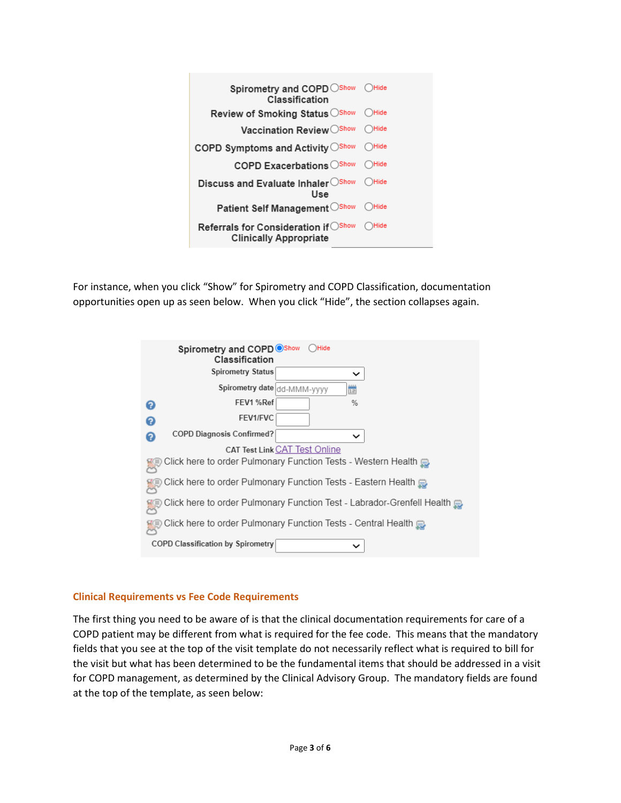| Spirometry and COPD Show OHide<br>Classification                             |              |
|------------------------------------------------------------------------------|--------------|
| <b>Review of Smoking Status</b> ○ Show                                       | ( )Hide      |
| Vaccination Review Show OHide                                                |              |
| COPD Symptoms and Activity Oshow                                             | ( Hide       |
| COPD Exacerbations ○Show                                                     | ( )Hide      |
| Discuss and Evaluate Inhaler OShow OHide<br>Use                              |              |
| Patient Self Management Oshow                                                | <b>OHide</b> |
| <b>Referrals for Consideration if</b> ○Show<br><b>Clinically Appropriate</b> | Hide         |

For instance, when you click "Show" for Spirometry and COPD Classification, documentation opportunities open up as seen below. When you click "Hide", the section collapses again.

| Spirometry and COPD OShow<br>$\bigcap$ Hide<br>Classification          |  |  |  |  |  |
|------------------------------------------------------------------------|--|--|--|--|--|
| <b>Spirometry Status</b><br>◡                                          |  |  |  |  |  |
| Spirometry date dd-MMM-yyyy<br>凿                                       |  |  |  |  |  |
| FEV1 %Ref<br>$\frac{9}{6}$<br>ื้อ                                      |  |  |  |  |  |
| FEV1/FVC<br>Ω                                                          |  |  |  |  |  |
| <b>COPD Diagnosis Confirmed?</b><br>◡<br>2                             |  |  |  |  |  |
| <b>CAT Test Link CAT Test Online</b>                                   |  |  |  |  |  |
| Click here to order Pulmonary Function Tests - Western Health          |  |  |  |  |  |
| Click here to order Pulmonary Function Tests - Eastern Health          |  |  |  |  |  |
| Click here to order Pulmonary Function Test - Labrador-Grenfell Health |  |  |  |  |  |
| Click here to order Pulmonary Function Tests - Central Health          |  |  |  |  |  |
| <b>COPD Classification by Spirometry</b><br>$\check{ }$                |  |  |  |  |  |

# **Clinical Requirements vs Fee Code Requirements**

The first thing you need to be aware of is that the clinical documentation requirements for care of a COPD patient may be different from what is required for the fee code. This means that the mandatory fields that you see at the top of the visit template do not necessarily reflect what is required to bill for the visit but what has been determined to be the fundamental items that should be addressed in a visit for COPD management, as determined by the Clinical Advisory Group. The mandatory fields are found at the top of the template, as seen below: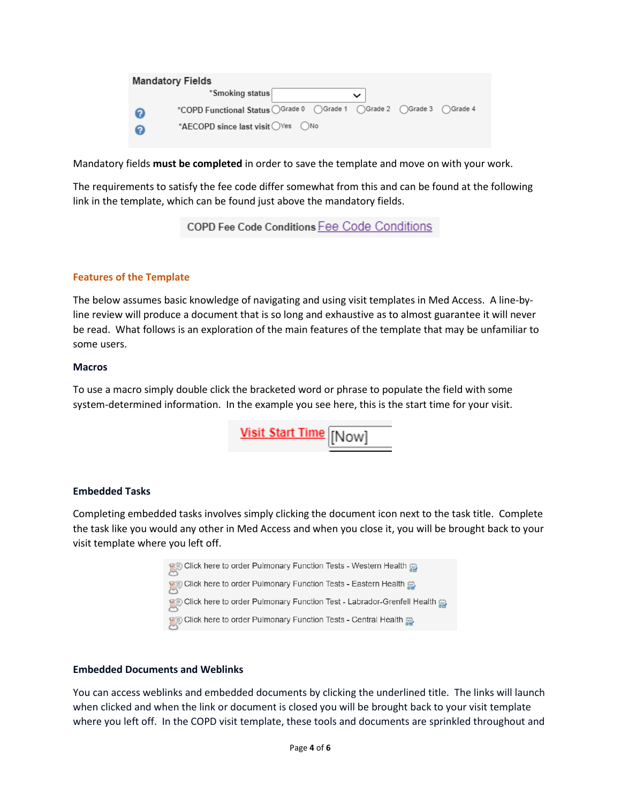| <b>Mandatory Fields</b> |                                                                      |  |  |             |  |  |
|-------------------------|----------------------------------------------------------------------|--|--|-------------|--|--|
|                         | *Smoking status                                                      |  |  | $\check{ }$ |  |  |
|                         | *COPD Functional Status OGrade 0 OGrade 1 OGrade 2 OGrade 3 OGrade 4 |  |  |             |  |  |
|                         | *AECOPD since last visit ○ Yes ○ No                                  |  |  |             |  |  |

Mandatory fields **must be completed** in order to save the template and move on with your work.

The requirements to satisfy the fee code differ somewhat from this and can be found at the following link in the template, which can be found just above the mandatory fields.

COPD Fee Code Conditions Fee Code Conditions

## **Features of the Template**

The below assumes basic knowledge of navigating and using visit templates in Med Access. A line-byline review will produce a document that is so long and exhaustive as to almost guarantee it will never be read. What follows is an exploration of the main features of the template that may be unfamiliar to some users.

#### **Macros**

To use a macro simply double click the bracketed word or phrase to populate the field with some system-determined information. In the example you see here, this is the start time for your visit.

Visit Start Time Now

## **Embedded Tasks**

Completing embedded tasks involves simply clicking the document icon next to the task title. Complete the task like you would any other in Med Access and when you close it, you will be brought back to your visit template where you left off.



## **Embedded Documents and Weblinks**

You can access weblinks and embedded documents by clicking the underlined title. The links will launch when clicked and when the link or document is closed you will be brought back to your visit template where you left off. In the COPD visit template, these tools and documents are sprinkled throughout and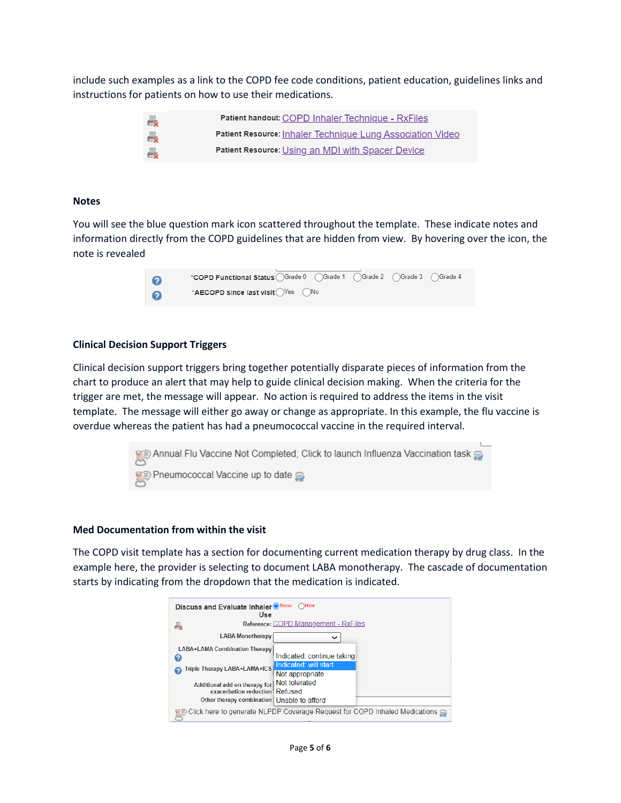include such examples as a link to the COPD fee code conditions, patient education, guidelines links and instructions for patients on how to use their medications.

| 曇 | Patient handout: COPD Inhaler Technique - RxFiles          |
|---|------------------------------------------------------------|
| 曇 | Patient Resource: Inhaler Technique Lung Association Video |
| 一 | Patient Resource: Using an MDI with Spacer Device          |

#### **Notes**

You will see the blue question mark icon scattered throughout the template. These indicate notes and information directly from the COPD guidelines that are hidden from view. By hovering over the icon, the note is revealed



#### **Clinical Decision Support Triggers**

Clinical decision support triggers bring together potentially disparate pieces of information from the chart to produce an alert that may help to guide clinical decision making. When the criteria for the trigger are met, the message will appear. No action is required to address the items in the visit template. The message will either go away or change as appropriate. In this example, the flu vaccine is overdue whereas the patient has had a pneumococcal vaccine in the required interval.



#### **Med Documentation from within the visit**

The COPD visit template has a section for documenting current medication therapy by drug class. In the example here, the provider is selecting to document LABA monotherapy. The cascade of documentation starts by indicating from the dropdown that the medication is indicated.

| $\bigcap$ Hide<br>Discuss and Evaluate Inhaler <sup>Show</sup><br>Use |                                                                            |  |  |  |  |
|-----------------------------------------------------------------------|----------------------------------------------------------------------------|--|--|--|--|
|                                                                       | Reference: COPD Management - RxFiles                                       |  |  |  |  |
| <b>LABA Monotherapy</b>                                               | ັ                                                                          |  |  |  |  |
| LABA+LAMA Combination Therapy<br>Q                                    | Indicated: continue taking                                                 |  |  |  |  |
| Triple Therapy LABA+LAMA+ICS                                          | Indicated: will start<br>Not appropriate                                   |  |  |  |  |
| Additional add on therapy for<br>exacerbation reduction Refused       | Not tolerated                                                              |  |  |  |  |
| Other therapy combination   Unable to afford                          |                                                                            |  |  |  |  |
|                                                                       | Click here to generate NLPDP Coverage Request for COPD Inhaled Medications |  |  |  |  |